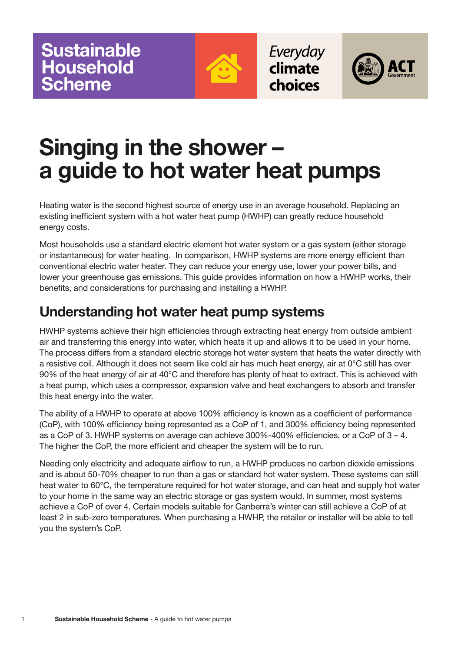

Everyday climate choices



# **Singing in the shower – a guide to hot water heat pumps**

Heating water is the second highest source of energy use in an average household. Replacing an existing inefficient system with a hot water heat pump (HWHP) can greatly reduce household energy costs.

Most households use a standard electric element hot water system or a gas system (either storage or instantaneous) for water heating. In comparison, HWHP systems are more energy efficient than conventional electric water heater. They can reduce your energy use, lower your power bills, and lower your greenhouse gas emissions. This guide provides information on how a HWHP works, their benefits, and considerations for purchasing and installing a HWHP.

## **Understanding hot water heat pump systems**

HWHP systems achieve their high efficiencies through extracting heat energy from outside ambient air and transferring this energy into water, which heats it up and allows it to be used in your home. The process differs from a standard electric storage hot water system that heats the water directly with a resistive coil. Although it does not seem like cold air has much heat energy, air at 0°C still has over 90% of the heat energy of air at 40°C and therefore has plenty of heat to extract. This is achieved with a heat pump, which uses a compressor, expansion valve and heat exchangers to absorb and transfer this heat energy into the water.

The ability of a HWHP to operate at above 100% efficiency is known as a coefficient of performance (CoP), with 100% efficiency being represented as a CoP of 1, and 300% efficiency being represented as a CoP of 3. HWHP systems on average can achieve 300%-400% efficiencies, or a CoP of 3 – 4. The higher the CoP, the more efficient and cheaper the system will be to run.

Needing only electricity and adequate airflow to run, a HWHP produces no carbon dioxide emissions and is about 50-70% cheaper to run than a gas or standard hot water system. These systems can still heat water to 60°C, the temperature required for hot water storage, and can heat and supply hot water to your home in the same way an electric storage or gas system would. In summer, most systems achieve a CoP of over 4. Certain models suitable for Canberra's winter can still achieve a CoP of at least 2 in sub-zero temperatures. When purchasing a HWHP, the retailer or installer will be able to tell you the system's CoP.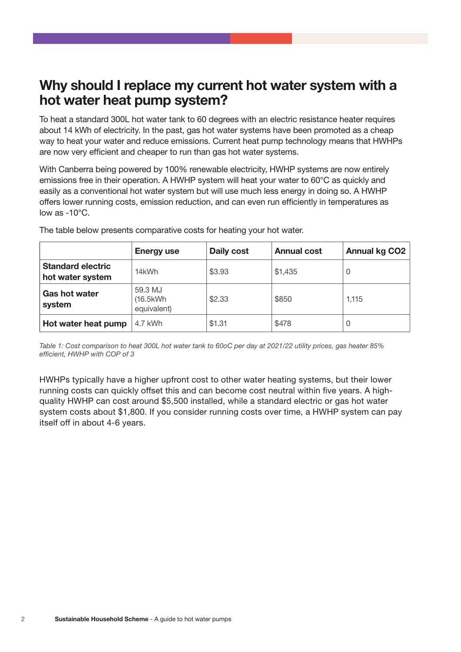## **Why should I replace my current hot water system with a hot water heat pump system?**

To heat a standard 300L hot water tank to 60 degrees with an electric resistance heater requires about 14 kWh of electricity. In the past, gas hot water systems have been promoted as a cheap way to heat your water and reduce emissions. Current heat pump technology means that HWHPs are now very efficient and cheaper to run than gas hot water systems.

With Canberra being powered by 100% renewable electricity, HWHP systems are now entirely emissions free in their operation. A HWHP system will heat your water to 60°C as quickly and easily as a conventional hot water system but will use much less energy in doing so. A HWHP offers lower running costs, emission reduction, and can even run efficiently in temperatures as low as -10°C.

|                                              | <b>Energy use</b>                   | Daily cost | <b>Annual cost</b> | <b>Annual kg CO2</b> |
|----------------------------------------------|-------------------------------------|------------|--------------------|----------------------|
| <b>Standard electric</b><br>hot water system | 14kWh                               | \$3.93     | \$1,435            | 0                    |
| Gas hot water<br>system                      | 59.3 MJ<br>(16.5kWh)<br>equivalent) | \$2.33     | \$850              | 1,115                |
| Hot water heat pump                          | 4.7 kWh                             | \$1.31     | \$478              | 0                    |

The table below presents comparative costs for heating your hot water.

*Table 1: Cost comparison to heat 300L hot water tank to 60oC per day at 2021/22 utility prices, gas heater 85% efficient, HWHP with COP of 3*

HWHPs typically have a higher upfront cost to other water heating systems, but their lower running costs can quickly offset this and can become cost neutral within five years. A highquality HWHP can cost around \$5,500 installed, while a standard electric or gas hot water system costs about \$1,800. If you consider running costs over time, a HWHP system can pay itself off in about 4-6 years.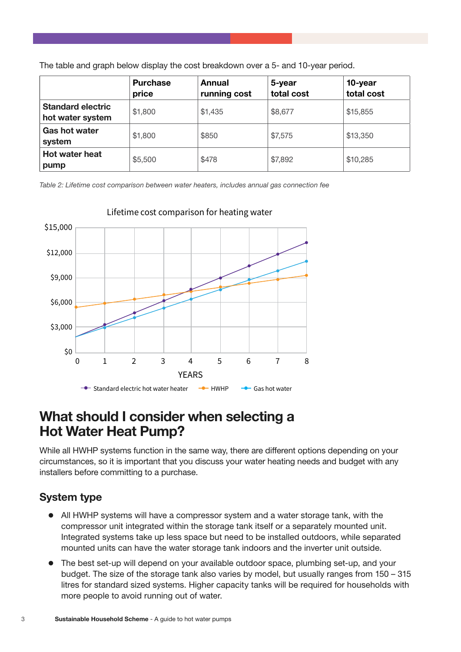|  |  | The table and graph below display the cost breakdown over a 5- and 10-year period. |
|--|--|------------------------------------------------------------------------------------|
|--|--|------------------------------------------------------------------------------------|

|                                              | <b>Purchase</b><br>price | Annual<br>running cost | 5-year<br>total cost | 10-year<br>total cost |
|----------------------------------------------|--------------------------|------------------------|----------------------|-----------------------|
| <b>Standard electric</b><br>hot water system | \$1,800                  | \$1,435                | \$8,677              | \$15,855              |
| <b>Gas hot water</b><br>system               | \$1,800                  | \$850                  | \$7,575              | \$13,350              |
| <b>Hot water heat</b><br>pump                | \$5,500                  | \$478                  | \$7,892              | \$10,285              |

*Table 2: Lifetime cost comparison between water heaters, includes annual gas connection fee*



#### Lifetime cost comparison for heating water

### **What should I consider when selecting a Hot Water Heat Pump?**

While all HWHP systems function in the same way, there are different options depending on your circumstances, so it is important that you discuss your water heating needs and budget with any installers before committing to a purchase.

#### **System type**

- All HWHP systems will have a compressor system and a water storage tank, with the compressor unit integrated within the storage tank itself or a separately mounted unit. Integrated systems take up less space but need to be installed outdoors, while separated mounted units can have the water storage tank indoors and the inverter unit outside.
- The best set-up will depend on your available outdoor space, plumbing set-up, and your budget. The size of the storage tank also varies by model, but usually ranges from 150 – 315 litres for standard sized systems. Higher capacity tanks will be required for households with more people to avoid running out of water.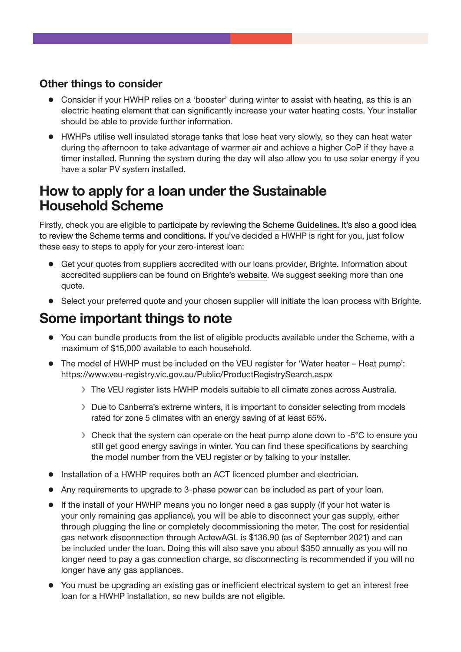#### **Other things to consider**

- Consider if your HWHP relies on a 'booster' during winter to assist with heating, as this is an electric heating element that can significantly increase your water heating costs. Your installer should be able to provide further information.
- HWHPs utilise well insulated storage tanks that lose heat very slowly, so they can heat water during the afternoon to take advantage of warmer air and achieve a higher CoP if they have a timer installed. Running the system during the day will also allow you to use solar energy if you have a solar PV system installed.

## **How to apply for a loan under the Sustainable Household Scheme**

Firstly, check you are eligible to participate by reviewing the [Scheme Guidelines](https://www.climatechoices.act.gov.au/__data/assets/pdf_file/0010/1861570/Sustainable-Household-Scheme-Guidelines-For-Participants.pdf). It's also a good idea to review the Scheme [terms and conditions.](https://www.climatechoices.act.gov.au/__data/assets/pdf_file/0011/1861571/Sustainable-Household-Scheme-Terms-and-Conditions.pdf) If you've decided a HWHP is right for you, just follow these easy to steps to apply for your zero-interest loan:

- Get your quotes from suppliers accredited with our loans provider, Brighte. Information about accredited suppliers can be found on Brighte's [website](https://brighte.com.au/homeowners/act-sustainable-household-scheme/). We suggest seeking more than one quote.
- Select your preferred quote and your chosen supplier will initiate the loan process with Brighte.

## **Some important things to note**

- You can bundle products from the list of eligible products available under the Scheme, with a maximum of \$15,000 available to each household.
- The model of HWHP must be included on the VEU register for 'Water heater Heat pump': https://www.veu-registry.vic.gov.au/Public/ProductRegistrySearch.aspx
	- › The VEU register lists HWHP models suitable to all climate zones across Australia.
	- › Due to Canberra's extreme winters, it is important to consider selecting from models rated for zone 5 climates with an energy saving of at least 65%.
	- › Check that the system can operate on the heat pump alone down to -5°C to ensure you still get good energy savings in winter. You can find these specifications by searching the model number from the VEU register or by talking to your installer.
- **•** Installation of a HWHP requires both an ACT licenced plumber and electrician.
- Any requirements to upgrade to 3-phase power can be included as part of your loan.
- If the install of your HWHP means you no longer need a gas supply (if your hot water is your only remaining gas appliance), you will be able to disconnect your gas supply, either through plugging the line or completely decommissioning the meter. The cost for residential gas network disconnection through ActewAGL is \$136.90 (as of September 2021) and can be included under the loan. Doing this will also save you about \$350 annually as you will no longer need to pay a gas connection charge, so disconnecting is recommended if you will no longer have any gas appliances.
- You must be upgrading an existing gas or inefficient electrical system to get an interest free loan for a HWHP installation, so new builds are not eligible.